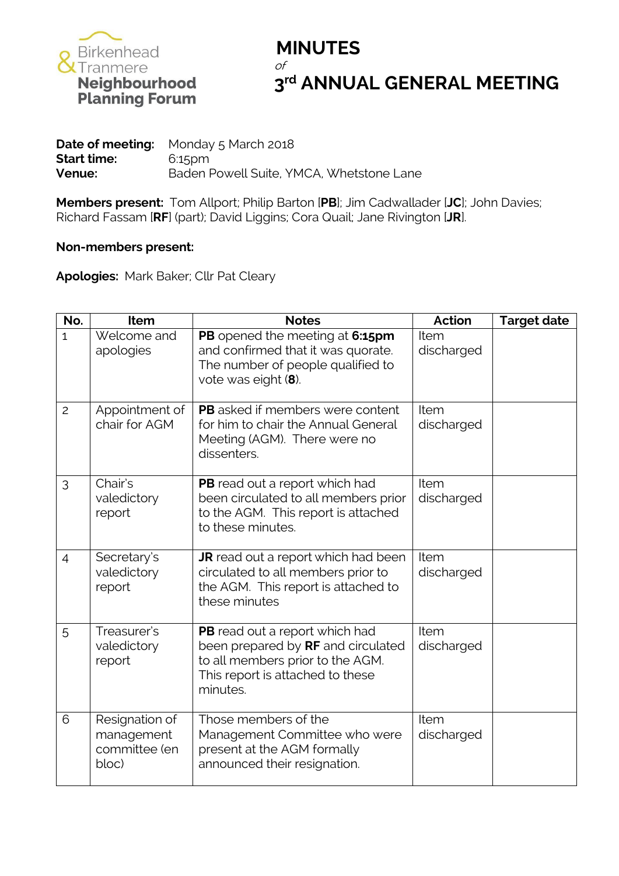

# $3<sup>rd</sup>$  **ANNUAL GENERAL MEETING**

|                    | <b>Date of meeting:</b> Monday $5$ March 2018 |
|--------------------|-----------------------------------------------|
| <b>Start time:</b> | 6:15pm                                        |
| Venue:             | Baden Powell Suite, YMCA, Whetstone Lane      |

**Members present:** Tom Allport; Philip Barton [**PB**]; Jim Cadwallader [**JC**]; John Davies; Richard Fassam [**RF**] (part); David Liggins; Cora Quail; Jane Rivington [**JR**].

#### **Non-members present:**

**Apologies:** Mark Baker; Cllr Pat Cleary

| No.            | Item                                                   | <b>Notes</b>                                                                                                                                             | Action<br><b>Target date</b> |  |  |  |  |
|----------------|--------------------------------------------------------|----------------------------------------------------------------------------------------------------------------------------------------------------------|------------------------------|--|--|--|--|
| $\mathbf{1}$   | Welcome and<br>apologies                               | PB opened the meeting at 6:15pm<br>and confirmed that it was quorate.<br>The number of people qualified to<br>vote was eight (8).                        | Item<br>discharged           |  |  |  |  |
| $\overline{c}$ | Appointment of<br>chair for AGM                        | <b>PB</b> asked if members were content<br>for him to chair the Annual General<br>Meeting (AGM). There were no<br>dissenters.                            | Item<br>discharged           |  |  |  |  |
| 3              | Chair's<br>valedictory<br>report                       | PB read out a report which had<br>been circulated to all members prior<br>to the AGM. This report is attached<br>to these minutes.                       | Item<br>discharged           |  |  |  |  |
| $\overline{4}$ | Secretary's<br>valedictory<br>report                   | <b>JR</b> read out a report which had been<br>circulated to all members prior to<br>the AGM. This report is attached to<br>these minutes                 | Item<br>discharged           |  |  |  |  |
| 5              | Treasurer's<br>valedictory<br>report                   | PB read out a report which had<br>been prepared by RF and circulated<br>to all members prior to the AGM.<br>This report is attached to these<br>minutes. | Item<br>discharged           |  |  |  |  |
| 6              | Resignation of<br>management<br>committee (en<br>bloc) | Those members of the<br>Management Committee who were<br>present at the AGM formally<br>announced their resignation.                                     | Item<br>discharged           |  |  |  |  |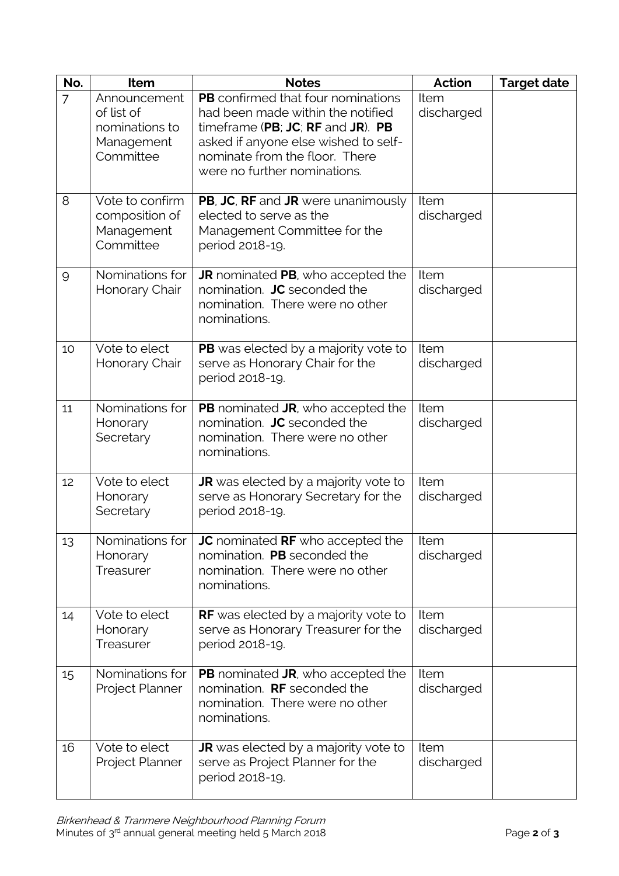| No.            | Item                                                                    | <b>Notes</b>                                                                                                                                                                                                                  | Action<br><b>Target date</b> |  |  |  |  |
|----------------|-------------------------------------------------------------------------|-------------------------------------------------------------------------------------------------------------------------------------------------------------------------------------------------------------------------------|------------------------------|--|--|--|--|
| $\overline{7}$ | Announcement<br>of list of<br>nominations to<br>Management<br>Committee | <b>PB</b> confirmed that four nominations<br>had been made within the notified<br>timeframe (PB; JC; RF and JR). PB<br>asked if anyone else wished to self-<br>nominate from the floor. There<br>were no further nominations. | Item<br>discharged           |  |  |  |  |
| 8              | Vote to confirm<br>composition of<br>Management<br>Committee            | PB, JC, RF and JR were unanimously<br>elected to serve as the<br>Management Committee for the<br>period 2018-19.                                                                                                              | Item<br>discharged           |  |  |  |  |
| 9              | Nominations for<br>Honorary Chair                                       | <b>JR</b> nominated PB, who accepted the<br>nomination. JC seconded the<br>nomination. There were no other<br>nominations.                                                                                                    | Item<br>discharged           |  |  |  |  |
| 10             | Vote to elect<br>Honorary Chair                                         | PB was elected by a majority vote to<br>serve as Honorary Chair for the<br>period 2018-19.                                                                                                                                    | Item<br>discharged           |  |  |  |  |
| 11             | Nominations for<br>Honorary<br>Secretary                                | <b>PB</b> nominated <b>JR</b> , who accepted the<br>nomination. JC seconded the<br>nomination. There were no other<br>nominations.                                                                                            | Item<br>discharged           |  |  |  |  |
| 12             | Vote to elect<br>Honorary<br>Secretary                                  | JR was elected by a majority vote to<br>serve as Honorary Secretary for the<br>period 2018-19.                                                                                                                                | Item<br>discharged           |  |  |  |  |
| 13             | Honorary<br>Treasurer                                                   | Nominations for $\vert$ JC nominated RF who accepted the<br>nomination. PB seconded the<br>nomination. There were no other<br>nominations.                                                                                    | Item<br>discharged           |  |  |  |  |
| 14             | Vote to elect<br>Honorary<br>Treasurer                                  | <b>RF</b> was elected by a majority vote to<br>serve as Honorary Treasurer for the<br>period 2018-19.                                                                                                                         | Item<br>discharged           |  |  |  |  |
| 15             | Nominations for<br>Project Planner                                      | <b>PB</b> nominated <b>JR</b> , who accepted the<br>nomination. RF seconded the<br>nomination. There were no other<br>nominations.                                                                                            | Item<br>discharged           |  |  |  |  |
| 16             | Vote to elect<br>Project Planner                                        | <b>JR</b> was elected by a majority vote to<br>serve as Project Planner for the<br>period 2018-19.                                                                                                                            | Item<br>discharged           |  |  |  |  |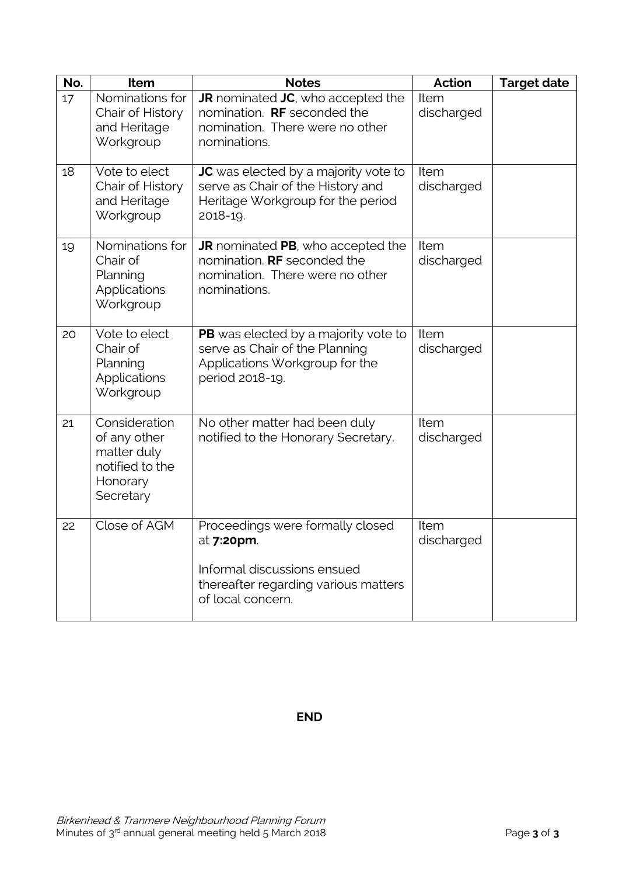| No. | Item                                                                                     | <b>Notes</b>                                                                                                                                       | <b>Action</b>      | <b>Target date</b> |
|-----|------------------------------------------------------------------------------------------|----------------------------------------------------------------------------------------------------------------------------------------------------|--------------------|--------------------|
| 17  | Nominations for<br>Chair of History<br>and Heritage<br>Workgroup                         | <b>JR</b> nominated <b>JC</b> , who accepted the<br>nomination. RF seconded the<br>nomination. There were no other<br>nominations.                 | Item<br>discharged |                    |
| 18  | Vote to elect<br>Chair of History<br>and Heritage<br>Workgroup                           | JC was elected by a majority vote to<br>serve as Chair of the History and<br>Heritage Workgroup for the period<br>2018-19.                         | Item<br>discharged |                    |
| 19  | Nominations for<br>Chair of<br>Planning<br>Applications<br>Workgroup                     | <b>JR</b> nominated PB, who accepted the<br>nomination. <b>RF</b> seconded the<br>nomination. There were no other<br>nominations.                  | Item<br>discharged |                    |
| 20  | Vote to elect<br>Chair of<br>Planning<br>Applications<br>Workgroup                       | PB was elected by a majority vote to<br>serve as Chair of the Planning<br>Applications Workgroup for the<br>period 2018-19.                        | Item<br>discharged |                    |
| 21  | Consideration<br>of any other<br>matter duly<br>notified to the<br>Honorary<br>Secretary | No other matter had been duly<br>notified to the Honorary Secretary.                                                                               | Item<br>discharged |                    |
| 22  | Close of AGM                                                                             | Proceedings were formally closed<br>at <b>7:20pm</b> .<br>Informal discussions ensued<br>thereafter regarding various matters<br>of local concern. | Item<br>discharged |                    |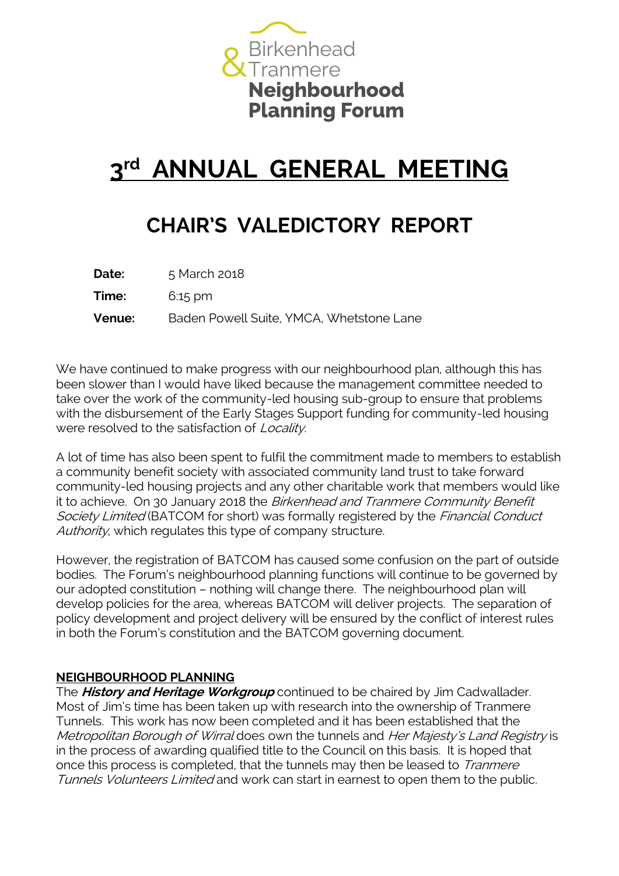

# **3 rd ANNUAL GENERAL MEETING**

### **CHAIR'S VALEDICTORY REPORT**

| <b>Date:</b> | 5 March 2018                             |
|--------------|------------------------------------------|
| Time:        | $6:15 \text{ pm}$                        |
| Venue:       | Baden Powell Suite, YMCA, Whetstone Lane |

We have continued to make progress with our neighbourhood plan, although this has been slower than I would have liked because the management committee needed to take over the work of the community-led housing sub-group to ensure that problems with the disbursement of the Early Stages Support funding for community-led housing were resolved to the satisfaction of *Locality*.

A lot of time has also been spent to fulfil the commitment made to members to establish a community benefit society with associated community land trust to take forward community-led housing projects and any other charitable work that members would like it to achieve. On 30 January 2018 the Birkenhead and Tranmere Community Benefit Society Limited (BATCOM for short) was formally registered by the Financial Conduct Authority, which regulates this type of company structure.

However, the registration of BATCOM has caused some confusion on the part of outside bodies. The Forum's neighbourhood planning functions will continue to be governed by our adopted constitution – nothing will change there. The neighbourhood plan will develop policies for the area, whereas BATCOM will deliver projects. The separation of policy development and project delivery will be ensured by the conflict of interest rules in both the Forum's constitution and the BATCOM governing document.

#### **NEIGHBOURHOOD PLANNING**

The **History and Heritage Workgroup** continued to be chaired by Jim Cadwallader. Most of Jim's time has been taken up with research into the ownership of Tranmere Tunnels. This work has now been completed and it has been established that the Metropolitan Borough of Wirral does own the tunnels and Her Majesty's Land Registry is in the process of awarding qualified title to the Council on this basis. It is hoped that once this process is completed, that the tunnels may then be leased to *Tranmere* Tunnels Volunteers Limited and work can start in earnest to open them to the public.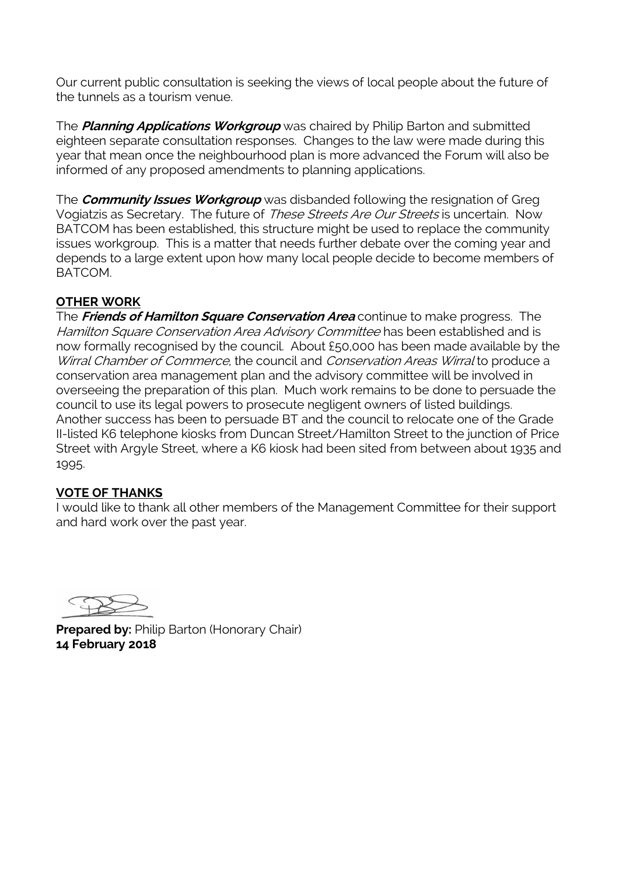Our current public consultation is seeking the views of local people about the future of the tunnels as a tourism venue.

The **Planning Applications Workgroup** was chaired by Philip Barton and submitted eighteen separate consultation responses. Changes to the law were made during this year that mean once the neighbourhood plan is more advanced the Forum will also be informed of any proposed amendments to planning applications.

The **Community Issues Workgroup** was disbanded following the resignation of Greg Vogiatzis as Secretary. The future of These Streets Are Our Streets is uncertain. Now BATCOM has been established, this structure might be used to replace the community issues workgroup. This is a matter that needs further debate over the coming year and depends to a large extent upon how many local people decide to become members of BATCOM.

### **OTHER WORK**

The **Friends of Hamilton Square Conservation Area** continue to make progress. The Hamilton Square Conservation Area Advisory Committee has been established and is now formally recognised by the council. About £50,000 has been made available by the Wirral Chamber of Commerce, the council and Conservation Areas Wirral to produce a conservation area management plan and the advisory committee will be involved in overseeing the preparation of this plan. Much work remains to be done to persuade the council to use its legal powers to prosecute negligent owners of listed buildings. Another success has been to persuade BT and the council to relocate one of the Grade II-listed K6 telephone kiosks from Duncan Street/Hamilton Street to the junction of Price Street with Argyle Street, where a K6 kiosk had been sited from between about 1935 and 1995.

### **VOTE OF THANKS**

I would like to thank all other members of the Management Committee for their support and hard work over the past year.

**Prepared by: Philip Barton (Honorary Chair) 14 February 2018**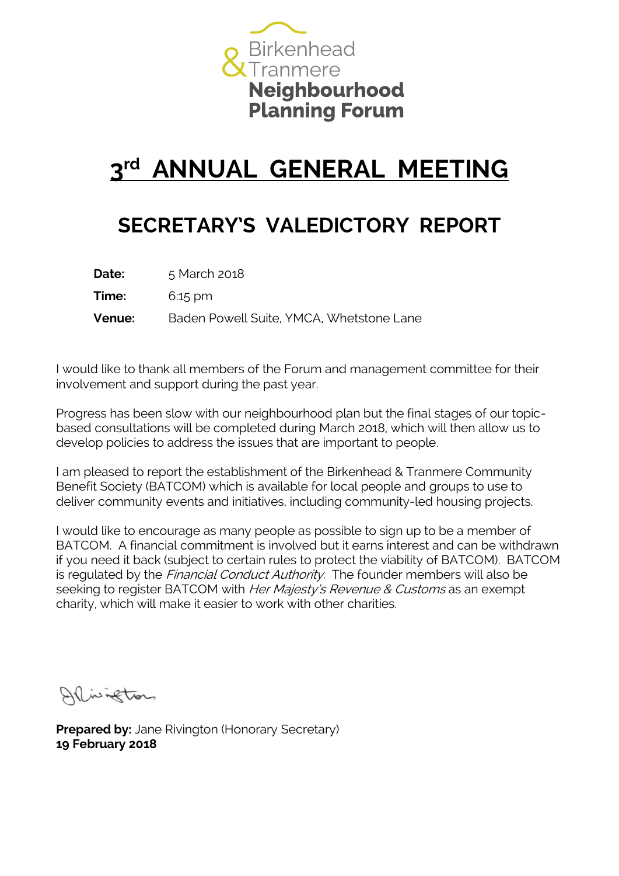

# **3 rd ANNUAL GENERAL MEETING**

### **SECRETARY'S VALEDICTORY REPORT**

| <b>Date:</b>  | 5 March 2018                             |
|---------------|------------------------------------------|
| Time:         | $6:15 \text{ pm}$                        |
| <b>Venue:</b> | Baden Powell Suite, YMCA, Whetstone Lane |

I would like to thank all members of the Forum and management committee for their involvement and support during the past year.

Progress has been slow with our neighbourhood plan but the final stages of our topicbased consultations will be completed during March 2018, which will then allow us to develop policies to address the issues that are important to people.

I am pleased to report the establishment of the Birkenhead & Tranmere Community Benefit Society (BATCOM) which is available for local people and groups to use to deliver community events and initiatives, including community-led housing projects.

I would like to encourage as many people as possible to sign up to be a member of BATCOM. A financial commitment is involved but it earns interest and can be withdrawn if you need it back (subject to certain rules to protect the viability of BATCOM). BATCOM is regulated by the *Financial Conduct Authority*. The founder members will also be seeking to register BATCOM with *Her Majesty's Revenue & Customs* as an exempt charity, which will make it easier to work with other charities.

Allivigeton

**Prepared by:** Jane Rivington (Honorary Secretary) **19 February 2018**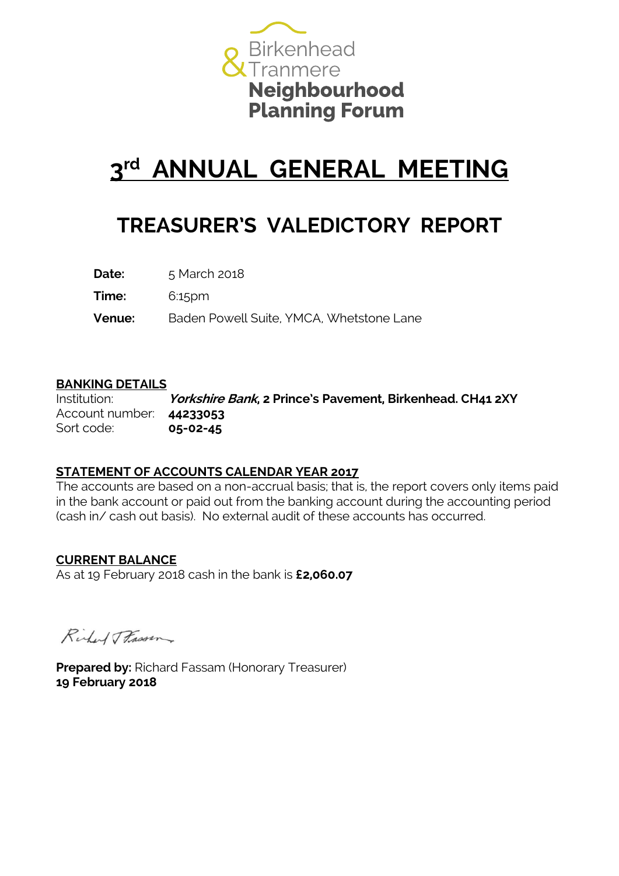

# **3 rd ANNUAL GENERAL MEETING**

### **TREASURER'S VALEDICTORY REPORT**

**Date:** 5 March 2018

**Time:** 6:15pm

**Venue:** Baden Powell Suite, YMCA, Whetstone Lane

#### **BANKING DETAILS**

Institution: **Yorkshire Bank, 2 Prince's Pavement, Birkenhead. CH41 2XY** Account number: **44233053** Sort code: **05-02-45**

### **STATEMENT OF ACCOUNTS CALENDAR YEAR 2017**

The accounts are based on a non-accrual basis; that is, the report covers only items paid in the bank account or paid out from the banking account during the accounting period (cash in/ cash out basis). No external audit of these accounts has occurred.

### **CURRENT BALANCE**

As at 19 February 2018 cash in the bank is **£2,060.07**

Richard Frassen

**Prepared by:** Richard Fassam (Honorary Treasurer) **19 February 2018**